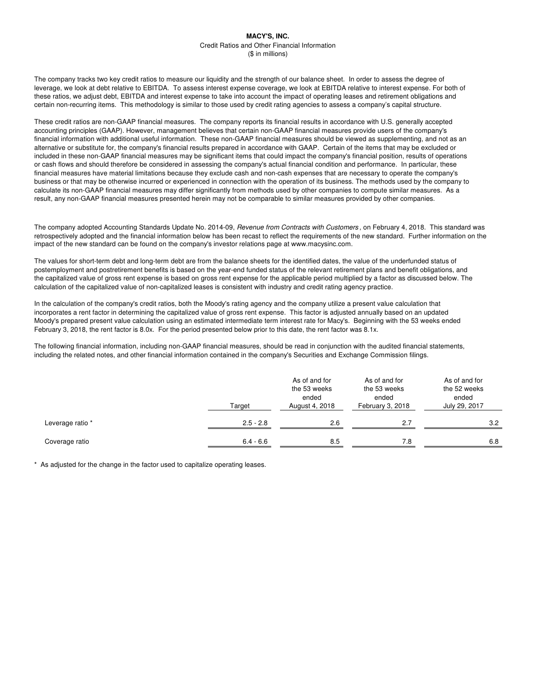# **MACY'S, INC.**

Credit Ratios and Other Financial Information (\$ in millions)

The company tracks two key credit ratios to measure our liquidity and the strength of our balance sheet. In order to assess the degree of leverage, we look at debt relative to EBITDA. To assess interest expense coverage, we look at EBITDA relative to interest expense. For both of these ratios, we adjust debt, EBITDA and interest expense to take into account the impact of operating leases and retirement obligations and certain non-recurring items. This methodology is similar to those used by credit rating agencies to assess a company's capital structure.

These credit ratios are non-GAAP financial measures. The company reports its financial results in accordance with U.S. generally accepted accounting principles (GAAP). However, management believes that certain non-GAAP financial measures provide users of the company's financial information with additional useful information. These non-GAAP financial measures should be viewed as supplementing, and not as an alternative or substitute for, the company's financial results prepared in accordance with GAAP. Certain of the items that may be excluded or included in these non-GAAP financial measures may be significant items that could impact the company's financial position, results of operations or cash flows and should therefore be considered in assessing the company's actual financial condition and performance. In particular, these financial measures have material limitations because they exclude cash and non-cash expenses that are necessary to operate the company's business or that may be otherwise incurred or experienced in connection with the operation of its business. The methods used by the company to calculate its non-GAAP financial measures may differ significantly from methods used by other companies to compute similar measures. As a result, any non-GAAP financial measures presented herein may not be comparable to similar measures provided by other companies.

The company adopted Accounting Standards Update No. 2014-09, Revenue from Contracts with Customers, on February 4, 2018. This standard was retrospectively adopted and the financial information below has been recast to reflect the requirements of the new standard. Further information on the impact of the new standard can be found on the company's investor relations page at www.macysinc.com.

The values for short-term debt and long-term debt are from the balance sheets for the identified dates, the value of the underfunded status of postemployment and postretirement benefits is based on the year-end funded status of the relevant retirement plans and benefit obligations, and the capitalized value of gross rent expense is based on gross rent expense for the applicable period multiplied by a factor as discussed below. The calculation of the capitalized value of non-capitalized leases is consistent with industry and credit rating agency practice.

In the calculation of the company's credit ratios, both the Moody's rating agency and the company utilize a present value calculation that incorporates a rent factor in determining the capitalized value of gross rent expense. This factor is adjusted annually based on an updated Moody's prepared present value calculation using an estimated intermediate term interest rate for Macy's. Beginning with the 53 weeks ended February 3, 2018, the rent factor is 8.0x. For the period presented below prior to this date, the rent factor was 8.1x.

The following financial information, including non-GAAP financial measures, should be read in conjunction with the audited financial statements, including the related notes, and other financial information contained in the company's Securities and Exchange Commission filings.

| Target           |             | As of and for<br>the 53 weeks<br>ended<br>August 4, 2018 | As of and for<br>the 53 weeks<br>ended<br>February 3, 2018 | As of and for<br>the 52 weeks<br>ended<br>July 29, 2017 |  |
|------------------|-------------|----------------------------------------------------------|------------------------------------------------------------|---------------------------------------------------------|--|
| Leverage ratio * | $2.5 - 2.8$ | 2.6                                                      | 2.7                                                        | 3.2                                                     |  |
| Coverage ratio   | $6.4 - 6.6$ | 8.5                                                      | 7.8                                                        | 6.8                                                     |  |

\* As adjusted for the change in the factor used to capitalize operating leases.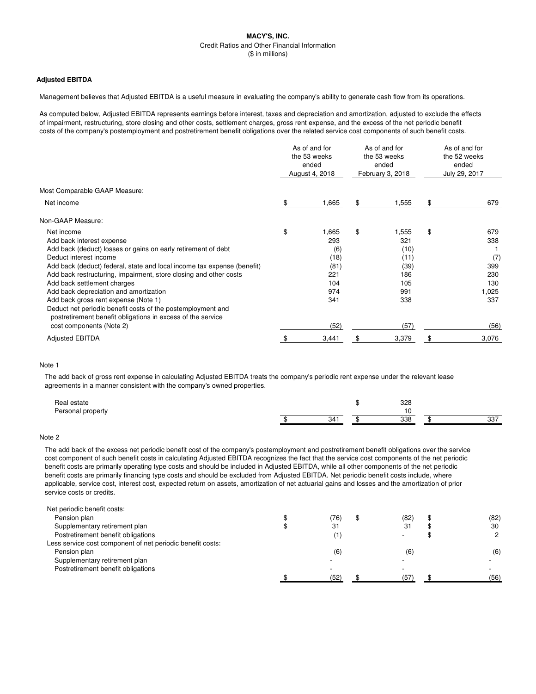# **MACY'S, INC.** Credit Ratios and Other Financial Information (\$ in millions)

# **Adjusted EBITDA**

Management believes that Adjusted EBITDA is a useful measure in evaluating the company's ability to generate cash flow from its operations.

As computed below, Adjusted EBITDA represents earnings before interest, taxes and depreciation and amortization, adjusted to exclude the effects of impairment, restructuring, store closing and other costs, settlement charges, gross rent expense, and the excess of the net periodic benefit costs of the company's postemployment and postretirement benefit obligations over the related service cost components of such benefit costs.

|                                                                                                                            |    | As of and for<br>the 53 weeks<br>ended<br>August 4, 2018 |    | As of and for<br>the 53 weeks<br>ended<br>February 3, 2018 |    | As of and for<br>the 52 weeks<br>ended<br>July 29, 2017 |  |
|----------------------------------------------------------------------------------------------------------------------------|----|----------------------------------------------------------|----|------------------------------------------------------------|----|---------------------------------------------------------|--|
| Most Comparable GAAP Measure:                                                                                              |    |                                                          |    |                                                            |    |                                                         |  |
| Net income                                                                                                                 | \$ | 1,665                                                    | \$ | 1,555                                                      | \$ | 679                                                     |  |
| Non-GAAP Measure:                                                                                                          |    |                                                          |    |                                                            |    |                                                         |  |
| Net income                                                                                                                 | \$ | 1,665                                                    | \$ | 1,555                                                      | \$ | 679                                                     |  |
| Add back interest expense                                                                                                  |    | 293                                                      |    | 321                                                        |    | 338                                                     |  |
| Add back (deduct) losses or gains on early retirement of debt                                                              |    | (6)                                                      |    | (10)                                                       |    |                                                         |  |
| Deduct interest income                                                                                                     |    | (18)                                                     |    | (11)                                                       |    | (7)                                                     |  |
| Add back (deduct) federal, state and local income tax expense (benefit)                                                    |    | (81)                                                     |    | (39)                                                       |    | 399                                                     |  |
| Add back restructuring, impairment, store closing and other costs                                                          |    | 221                                                      |    | 186                                                        |    | 230                                                     |  |
| Add back settlement charges                                                                                                |    | 104                                                      |    | 105                                                        |    | 130                                                     |  |
| Add back depreciation and amortization                                                                                     |    | 974                                                      |    | 991                                                        |    | 1,025                                                   |  |
| Add back gross rent expense (Note 1)                                                                                       |    | 341                                                      |    | 338                                                        |    | 337                                                     |  |
| Deduct net periodic benefit costs of the postemployment and<br>postretirement benefit obligations in excess of the service |    |                                                          |    |                                                            |    |                                                         |  |
| cost components (Note 2)                                                                                                   |    | (52)                                                     |    | (57)                                                       |    | (56)                                                    |  |
| <b>Adjusted EBITDA</b>                                                                                                     |    | 3,441                                                    |    | 3,379                                                      |    | 3,076                                                   |  |

## Note 1

The add back of gross rent expense in calculating Adjusted EBITDA treats the company's periodic rent expense under the relevant lease agreements in a manner consistent with the company's owned properties.

| Real estate       |     | 328 |            |
|-------------------|-----|-----|------------|
| Personal property |     |     |            |
|                   | 211 | 338 | 227<br>، ب |

# Note 2

The add back of the excess net periodic benefit cost of the company's postemployment and postretirement benefit obligations over the service cost component of such benefit costs in calculating Adjusted EBITDA recognizes the fact that the service cost components of the net periodic benefit costs are primarily operating type costs and should be included in Adjusted EBITDA, while all other components of the net periodic benefit costs are primarily financing type costs and should be excluded from Adjusted EBITDA. Net periodic benefit costs include, where applicable, service cost, interest cost, expected return on assets, amortization of net actuarial gains and losses and the amortization of prior service costs or credits.

| Net periodic benefit costs:                                |      |      |               |
|------------------------------------------------------------|------|------|---------------|
| Pension plan                                               | (76) | (82) | (82)          |
| Supplementary retirement plan                              | 31   | -31  | 30            |
| Postretirement benefit obligations                         | '1)  |      | $\mathcal{D}$ |
| Less service cost component of net periodic benefit costs: |      |      |               |
| Pension plan                                               | (6)  | (6)  | (6)           |
| Supplementary retirement plan                              |      |      |               |
| Postretirement benefit obligations                         |      |      |               |
|                                                            | (52) | (57  | (56)          |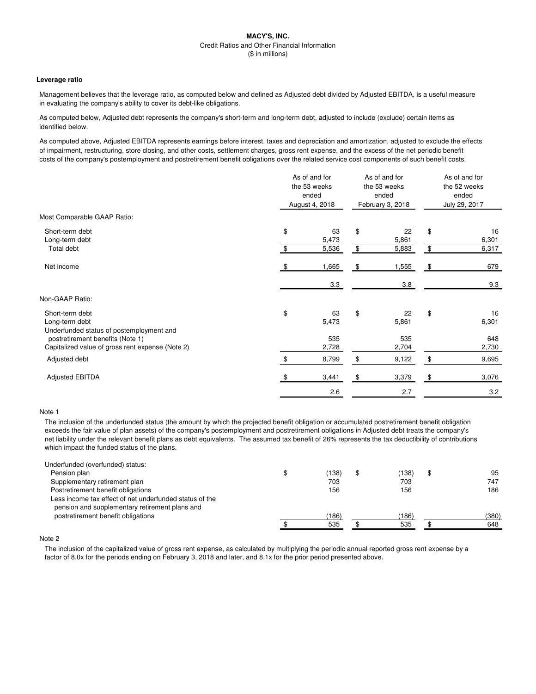## **MACY'S, INC.** Credit Ratios and Other Financial Information (\$ in millions)

#### **Leverage ratio**

Management believes that the leverage ratio, as computed below and defined as Adjusted debt divided by Adjusted EBITDA, is a useful measure in evaluating the company's ability to cover its debt-like obligations.

As computed below, Adjusted debt represents the company's short-term and long-term debt, adjusted to include (exclude) certain items as identified below.

As computed above, Adjusted EBITDA represents earnings before interest, taxes and depreciation and amortization, adjusted to exclude the effects of impairment, restructuring, store closing, and other costs, settlement charges, gross rent expense, and the excess of the net periodic benefit costs of the company's postemployment and postretirement benefit obligations over the related service cost components of such benefit costs.

|                                                                                                                   | As of and for<br>the 53 weeks<br>ended<br>August 4, 2018 |          | As of and for<br>the 53 weeks<br>ended<br>February 3, 2018 | As of and for<br>the 52 weeks<br>ended<br>July 29, 2017 |                      |
|-------------------------------------------------------------------------------------------------------------------|----------------------------------------------------------|----------|------------------------------------------------------------|---------------------------------------------------------|----------------------|
| Most Comparable GAAP Ratio:                                                                                       |                                                          |          |                                                            |                                                         |                      |
| Short-term debt<br>Long-term debt<br>Total debt                                                                   | \$<br>63<br>5,473<br>5,536                               | \$<br>\$ | 22<br>5,861<br>5,883                                       | \$<br>\$                                                | 16<br>6,301<br>6,317 |
| Net income                                                                                                        | \$<br>1,665                                              | \$       | 1,555                                                      | \$                                                      | 679                  |
|                                                                                                                   | 3.3                                                      |          | 3.8                                                        |                                                         | 9.3                  |
| Non-GAAP Ratio:                                                                                                   |                                                          |          |                                                            |                                                         |                      |
| Short-term debt<br>Long-term debt<br>Underfunded status of postemployment and<br>postretirement benefits (Note 1) | \$<br>63<br>5,473<br>535                                 | \$       | 22<br>5,861<br>535                                         | \$                                                      | 16<br>6,301<br>648   |
| Capitalized value of gross rent expense (Note 2)                                                                  | 2,728                                                    |          | 2,704                                                      |                                                         | 2,730                |
| Adjusted debt                                                                                                     | 8,799                                                    | \$       | 9,122                                                      | \$                                                      | 9,695                |
| <b>Adjusted EBITDA</b>                                                                                            | 3,441                                                    |          | 3,379                                                      | \$                                                      | 3,076                |
|                                                                                                                   | 2.6                                                      |          | 2.7                                                        |                                                         | 3.2                  |

## Note 1

The inclusion of the underfunded status (the amount by which the projected benefit obligation or accumulated postretirement benefit obligation exceeds the fair value of plan assets) of the company's postemployment and postretirement obligations in Adjusted debt treats the company's net liability under the relevant benefit plans as debt equivalents. The assumed tax benefit of 26% represents the tax deductibility of contributions which impact the funded status of the plans.

| Underfunded (overfunded) status:                        |       |      |       |
|---------------------------------------------------------|-------|------|-------|
| Pension plan                                            | (138) | 138) | 95    |
| Supplementary retirement plan                           | 703   | 703  | 747   |
| Postretirement benefit obligations                      | 156   | 156  | 186   |
| Less income tax effect of net underfunded status of the |       |      |       |
| pension and supplementary retirement plans and          |       |      |       |
| postretirement benefit obligations                      | (186) | 186) | (380) |
|                                                         | 535   | 535  | 648   |

## Note 2

The inclusion of the capitalized value of gross rent expense, as calculated by multiplying the periodic annual reported gross rent expense by a factor of 8.0x for the periods ending on February 3, 2018 and later, and 8.1x for the prior period presented above.